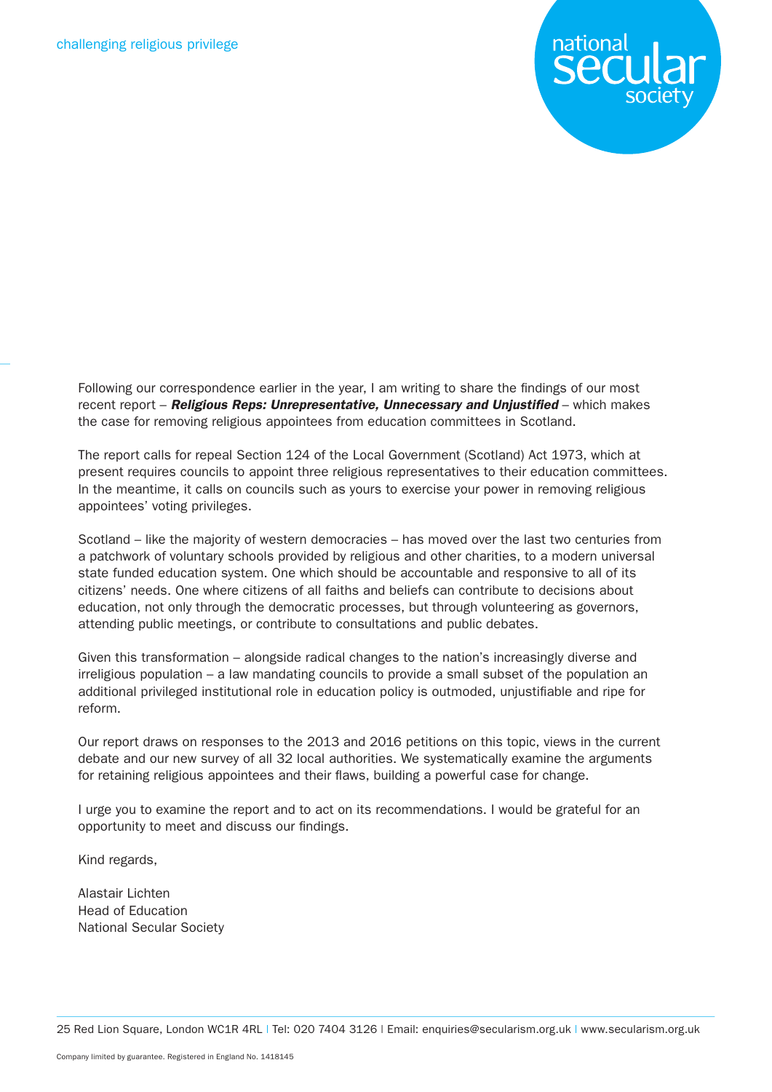

Following our correspondence earlier in the year, I am writing to share the findings of our most recent report – *Religious Reps: Unrepresentative, Unnecessary and Unjustified* – which makes the case for removing religious appointees from education committees in Scotland.

The report calls for repeal Section 124 of the Local Government (Scotland) Act 1973, which at present requires councils to appoint three religious representatives to their education committees. In the meantime, it calls on councils such as yours to exercise your power in removing religious appointees' voting privileges.

Scotland – like the majority of western democracies – has moved over the last two centuries from a patchwork of voluntary schools provided by religious and other charities, to a modern universal state funded education system. One which should be accountable and responsive to all of its citizens' needs. One where citizens of all faiths and beliefs can contribute to decisions about education, not only through the democratic processes, but through volunteering as governors, attending public meetings, or contribute to consultations and public debates.

Given this transformation – alongside radical changes to the nation's increasingly diverse and irreligious population – a law mandating councils to provide a small subset of the population an additional privileged institutional role in education policy is outmoded, unjustifiable and ripe for reform.

Our report draws on responses to the 2013 and 2016 petitions on this topic, views in the current debate and our new survey of all 32 local authorities. We systematically examine the arguments for retaining religious appointees and their flaws, building a powerful case for change.

I urge you to examine the report and to act on its recommendations. I would be grateful for an opportunity to meet and discuss our findings.

Kind regards,

Alastair Lichten Head of Education National Secular Society

25 Red Lion Square, London WC1R 4RL | Tel: 020 7404 3126 | Email: enquiries@secularism.org.uk | www.secularism.org.uk